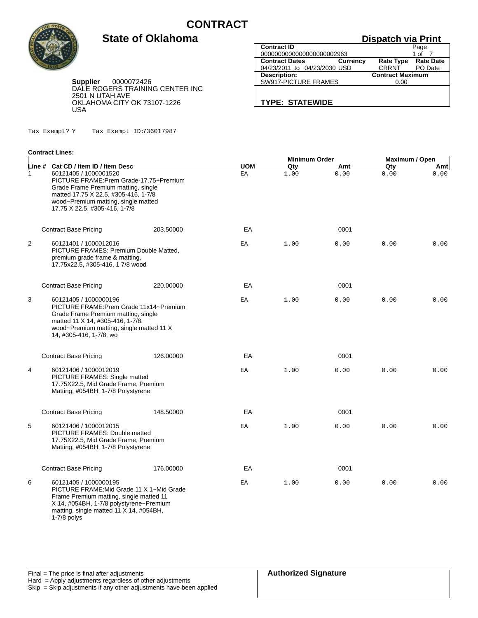

### **Dispatch via Print**

**Supplier** 0000072426 DALE ROGERS TRAINING CENTER INC 2501 N UTAH AVE OKLAHOMA CITY OK 73107-1226 USA

**State of Oklahoma**

| <b>Contract ID</b>           |                 |                         | Page             |
|------------------------------|-----------------|-------------------------|------------------|
| 0000000000000000000002963    |                 |                         | 1 of             |
| <b>Contract Dates</b>        | <b>Currency</b> | <b>Rate Type</b>        | <b>Rate Date</b> |
| 04/23/2011 to 04/23/2030 USD |                 | <b>CRRNT</b>            | PO Date          |
| <b>Description:</b>          |                 | <b>Contract Maximum</b> |                  |
| SW917-PICTURE FRAMES         |                 | 0.00                    |                  |
|                              |                 |                         |                  |
|                              |                 |                         |                  |

**TYPE: STATEWIDE**

Tax Exempt? Y Tax Exempt ID:736017987

#### **Contract Lines:**

|              |                                                                                                                                                                                                                         |           |            | <b>Minimum Order</b> |      | <b>Maximum / Open</b> |      |
|--------------|-------------------------------------------------------------------------------------------------------------------------------------------------------------------------------------------------------------------------|-----------|------------|----------------------|------|-----------------------|------|
|              | Line # Cat CD / Item ID / Item Desc                                                                                                                                                                                     |           | <b>UOM</b> | Qty                  | Amt  | Qty                   | Amt  |
| $\mathbf{1}$ | 60121405 / 1000001520<br>PICTURE FRAME: Prem Grade-17.75~Premium<br>Grade Frame Premium matting, single<br>matted 17.75 X 22.5, #305-416, 1-7/8<br>wood~Premium matting, single matted<br>17.75 X 22.5, #305-416, 1-7/8 |           | EA         | 1.00                 | 0.00 | 0.00                  | 0.00 |
|              | <b>Contract Base Pricing</b>                                                                                                                                                                                            | 203.50000 | EA         |                      | 0001 |                       |      |
| 2            | 60121401 / 1000012016<br>PICTURE FRAMES: Premium Double Matted,<br>premium grade frame & matting,<br>17.75x22.5, #305-416, 17/8 wood                                                                                    |           | ΕA         | 1.00                 | 0.00 | 0.00                  | 0.00 |
|              | <b>Contract Base Pricing</b>                                                                                                                                                                                            | 220.00000 | EA         |                      | 0001 |                       |      |
| 3            | 60121405 / 1000000196<br>PICTURE FRAME: Prem Grade 11x14~Premium<br>Grade Frame Premium matting, single<br>matted 11 X 14, #305-416, 1-7/8,<br>wood~Premium matting, single matted 11 X<br>14, #305-416, 1-7/8, wo      |           | ΕA         | 1.00                 | 0.00 | 0.00                  | 0.00 |
|              | <b>Contract Base Pricing</b>                                                                                                                                                                                            | 126,00000 | EA         |                      | 0001 |                       |      |
| 4            | 60121406 / 1000012019<br>PICTURE FRAMES: Single matted<br>17.75X22.5, Mid Grade Frame, Premium<br>Matting, #054BH, 1-7/8 Polystyrene                                                                                    |           | ΕA         | 1.00                 | 0.00 | 0.00                  | 0.00 |
|              | <b>Contract Base Pricing</b>                                                                                                                                                                                            | 148.50000 | EA         |                      | 0001 |                       |      |
| 5            | 60121406 / 1000012015<br>PICTURE FRAMES: Double matted<br>17.75X22.5, Mid Grade Frame, Premium<br>Matting, #054BH, 1-7/8 Polystyrene                                                                                    |           | ΕA         | 1.00                 | 0.00 | 0.00                  | 0.00 |
|              | <b>Contract Base Pricing</b>                                                                                                                                                                                            | 176.00000 | EA         |                      | 0001 |                       |      |
| 6            | 60121405 / 1000000195<br>PICTURE FRAME: Mid Grade 11 X 1~Mid Grade<br>Frame Premium matting, single matted 11<br>X 14, #054BH, 1-7/8 polystyrene~Premium<br>matting, single matted 11 X 14, #054BH,<br>$1-7/8$ polys    |           | ЕA         | 1.00                 | 0.00 | 0.00                  | 0.00 |

|  | <b>Authorized Signature</b> |
|--|-----------------------------|
|  |                             |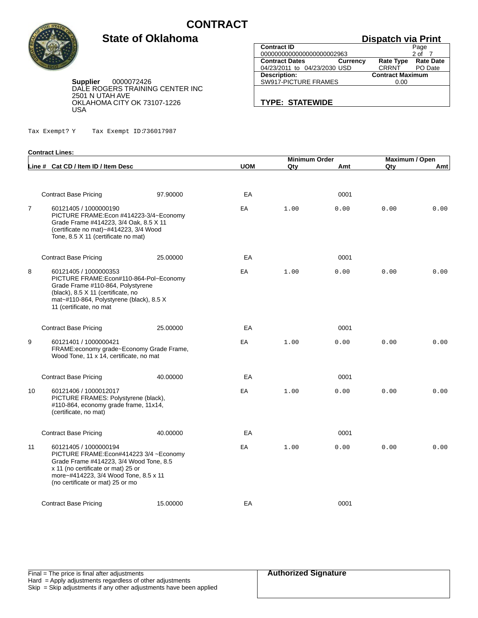

**Contract Lines:**

# **State of Oklahoma**

| <b>Dispatch via Print</b>                |                         |                     |  |  |
|------------------------------------------|-------------------------|---------------------|--|--|
| <b>Contract ID</b>                       |                         | Page                |  |  |
| 0000000000000000000002963                |                         | 2 of                |  |  |
| <b>Contract Dates</b><br><b>Currency</b> |                         | Rate Type Rate Date |  |  |
| 04/23/2011 to 04/23/2030 USD             | <b>CRRNT</b>            | PO Date             |  |  |
| <b>Description:</b>                      | <b>Contract Maximum</b> |                     |  |  |
| SW917-PICTURE FRAMES                     | 0.00                    |                     |  |  |
|                                          |                         |                     |  |  |
|                                          |                         |                     |  |  |

**TYPE: STATEWIDE**

**Supplier** 0000072426 DALE ROGERS TRAINING CENTER INC 2501 N UTAH AVE OKLAHOMA CITY OK 73107-1226 USA

Tax Exempt? Y Tax Exempt ID:736017987

|                |                                                                                                                                                                                                                                 |          |            | <b>Minimum Order</b> |      | Maximum / Open |      |
|----------------|---------------------------------------------------------------------------------------------------------------------------------------------------------------------------------------------------------------------------------|----------|------------|----------------------|------|----------------|------|
|                | Line # Cat CD / Item ID / Item Desc                                                                                                                                                                                             |          | <b>UOM</b> | Qty                  | Amt  | Qty            | Amt  |
|                | <b>Contract Base Pricing</b>                                                                                                                                                                                                    | 97.90000 | EA         |                      | 0001 |                |      |
| $\overline{7}$ | 60121405 / 1000000190<br>PICTURE FRAME: Econ #414223-3/4~Economy<br>Grade Frame #414223, 3/4 Oak, 8.5 X 11<br>(certificate no mat)~#414223, 3/4 Wood<br>Tone, 8.5 X 11 (certificate no mat)                                     |          | EA         | 1.00                 | 0.00 | 0.00           | 0.00 |
|                | <b>Contract Base Pricing</b>                                                                                                                                                                                                    | 25.00000 | EA         |                      | 0001 |                |      |
| 8              | 60121405 / 1000000353<br>PICTURE FRAME:Econ#110-864-Pol~Economy<br>Grade Frame #110-864, Polystyrene<br>(black), 8.5 X 11 (certificate, no<br>mat-#110-864, Polystyrene (black), 8.5 X<br>11 (certificate, no mat               |          | ΕA         | 1.00                 | 0.00 | 0.00           | 0.00 |
|                | <b>Contract Base Pricing</b>                                                                                                                                                                                                    | 25.00000 | EA         |                      | 0001 |                |      |
| 9              | 60121401 / 1000000421<br>FRAME:economy grade~Economy Grade Frame,<br>Wood Tone, 11 x 14, certificate, no mat                                                                                                                    |          | EA         | 1.00                 | 0.00 | 0.00           | 0.00 |
|                | <b>Contract Base Pricing</b>                                                                                                                                                                                                    | 40.00000 | EA         |                      | 0001 |                |      |
| 10             | 60121406 / 1000012017<br>PICTURE FRAMES: Polystyrene (black),<br>#110-864, economy grade frame, 11x14,<br>(certificate, no mat)                                                                                                 |          | ΕA         | 1.00                 | 0.00 | 0.00           | 0.00 |
|                | <b>Contract Base Pricing</b>                                                                                                                                                                                                    | 40.00000 | EA         |                      | 0001 |                |      |
| 11             | 60121405 / 1000000194<br>PICTURE FRAME: Econ#414223 3/4 ~ Economy<br>Grade Frame #414223, 3/4 Wood Tone, 8.5<br>x 11 (no certificate or mat) 25 or<br>more~#414223, 3/4 Wood Tone, 8.5 x 11<br>(no certificate or mat) 25 or mo |          | EA         | 1.00                 | 0.00 | 0.00           | 0.00 |
|                | <b>Contract Base Pricing</b>                                                                                                                                                                                                    | 15.00000 | EA         |                      | 0001 |                |      |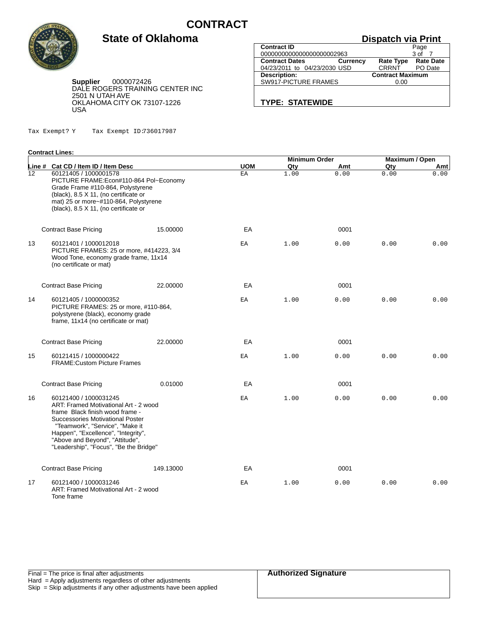

### **Dispatch via Print**

**Supplier** 0000072426 DALE ROGERS TRAINING CENTER INC 2501 N UTAH AVE OKLAHOMA CITY OK 73107-1226 USA

**State of Oklahoma**

|                              |                 | --------                |                  |
|------------------------------|-----------------|-------------------------|------------------|
| <b>Contract ID</b>           |                 |                         | Page             |
| 0000000000000000000002963    |                 |                         | 3 of             |
| <b>Contract Dates</b>        | <b>Currency</b> | <b>Rate Type</b>        | <b>Rate Date</b> |
| 04/23/2011 to 04/23/2030 USD |                 | CRRNT                   | PO Date          |
| Description:                 |                 | <b>Contract Maximum</b> |                  |
| SW917-PICTURE FRAMES         |                 | 0.00                    |                  |
|                              |                 |                         |                  |
|                              |                 |                         |                  |

#### **TYPE: STATEWIDE**

Tax Exempt? Y Tax Exempt ID:736017987

#### **Contract Lines:**

|    |                                                                                                                                                                                                                                                                                              |           |            | <b>Minimum Order</b> |      | Maximum / Open |      |
|----|----------------------------------------------------------------------------------------------------------------------------------------------------------------------------------------------------------------------------------------------------------------------------------------------|-----------|------------|----------------------|------|----------------|------|
|    | Line # Cat CD / Item ID / Item Desc                                                                                                                                                                                                                                                          |           | <b>UOM</b> | Qty                  | Amt  | Qty            | Amt  |
| 12 | 60121405 / 1000001578<br>PICTURE FRAME: Econ#110-864 Pol~Economy<br>Grade Frame #110-864, Polystyrene<br>(black), 8.5 X 11, (no certificate or<br>mat) 25 or more~#110-864, Polystyrene<br>(black), 8.5 X 11, (no certificate or                                                             |           | EA         | 1.00                 | 0.00 | 0.00           | 0.00 |
|    | <b>Contract Base Pricing</b>                                                                                                                                                                                                                                                                 | 15,00000  | EA         |                      | 0001 |                |      |
| 13 | 60121401 / 1000012018<br>PICTURE FRAMES: 25 or more, #414223, 3/4<br>Wood Tone, economy grade frame, 11x14<br>(no certificate or mat)                                                                                                                                                        |           | EA         | 1.00                 | 0.00 | 0.00           | 0.00 |
|    | <b>Contract Base Pricing</b>                                                                                                                                                                                                                                                                 | 22.00000  | EA         |                      | 0001 |                |      |
| 14 | 60121405 / 1000000352<br>PICTURE FRAMES: 25 or more, #110-864,<br>polystyrene (black), economy grade<br>frame, 11x14 (no certificate or mat)                                                                                                                                                 |           | ΕA         | 1.00                 | 0.00 | 0.00           | 0.00 |
|    | <b>Contract Base Pricing</b>                                                                                                                                                                                                                                                                 | 22,00000  | EA         |                      | 0001 |                |      |
| 15 | 60121415 / 1000000422<br><b>FRAME: Custom Picture Frames</b>                                                                                                                                                                                                                                 |           | EA         | 1.00                 | 0.00 | 0.00           | 0.00 |
|    | <b>Contract Base Pricing</b>                                                                                                                                                                                                                                                                 | 0.01000   | EA         |                      | 0001 |                |      |
| 16 | 60121400 / 1000031245<br>ART: Framed Motivational Art - 2 wood<br>frame Black finish wood frame -<br>Successories Motivational Poster<br>"Teamwork", "Service", "Make it<br>Happen", "Excellence", "Integrity",<br>"Above and Beyond", "Attitude",<br>"Leadership", "Focus", "Be the Bridge" |           | ΕA         | 1.00                 | 0.00 | 0.00           | 0.00 |
|    | <b>Contract Base Pricing</b>                                                                                                                                                                                                                                                                 | 149.13000 | EA         |                      | 0001 |                |      |
| 17 | 60121400 / 1000031246<br>ART: Framed Motivational Art - 2 wood<br>Tone frame                                                                                                                                                                                                                 |           | ΕA         | 1.00                 | 0.00 | 0.00           | 0.00 |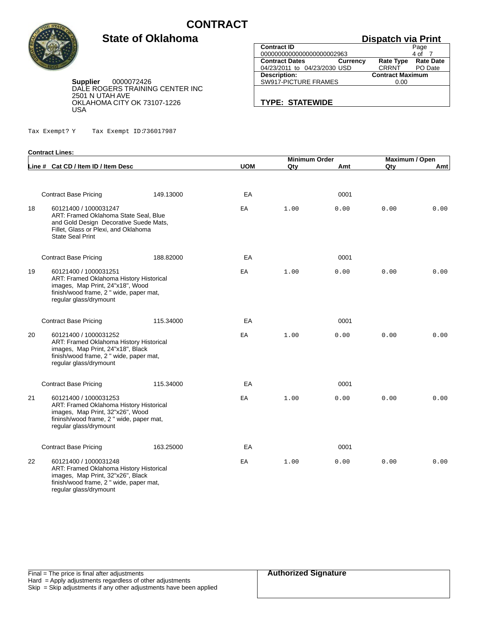

**Contract Lines:**

# **State of Oklahoma**

### **Dispatch via Print**

**Supplier** 0000072426 DALE ROGERS TRAINING CENTER INC 2501 N UTAH AVE OKLAHOMA CITY OK 73107-1226 USA

|                              |                 | <b>DISPAIGH VIA LITTLE</b> |                  |
|------------------------------|-----------------|----------------------------|------------------|
| <b>Contract ID</b>           |                 |                            | Page             |
| 0000000000000000000002963    |                 |                            | 4 of             |
| <b>Contract Dates</b>        | <b>Currency</b> | <b>Rate Type</b>           | <b>Rate Date</b> |
| 04/23/2011 to 04/23/2030 USD |                 | <b>CRRNT</b>               | PO Date          |
| <b>Description:</b>          |                 | <b>Contract Maximum</b>    |                  |
| SW917-PICTURE FRAMES         |                 | 0.00                       |                  |
|                              |                 |                            |                  |
|                              |                 |                            |                  |

**TYPE: STATEWIDE**

Tax Exempt? Y Tax Exempt ID:736017987

|    |                                                                                                                                                                                   |           |            | <b>Minimum Order</b> |      | Maximum / Open |      |
|----|-----------------------------------------------------------------------------------------------------------------------------------------------------------------------------------|-----------|------------|----------------------|------|----------------|------|
|    | Line # Cat CD / Item ID / Item Desc                                                                                                                                               |           | <b>UOM</b> | Qty                  | Amt  | Qty            | Amt  |
|    | <b>Contract Base Pricing</b>                                                                                                                                                      | 149.13000 | EA         |                      | 0001 |                |      |
| 18 | 60121400 / 1000031247<br>ART: Framed Oklahoma State Seal, Blue<br>and Gold Design Decorative Suede Mats,<br>Fillet, Glass or Plexi, and Oklahoma<br><b>State Seal Print</b>       |           | ΕA         | 1.00                 | 0.00 | 0.00           | 0.00 |
|    | <b>Contract Base Pricing</b>                                                                                                                                                      | 188.82000 | EA         |                      | 0001 |                |      |
| 19 | 60121400 / 1000031251<br>ART: Framed Oklahoma History Historical<br>images, Map Print, 24"x18", Wood<br>finish/wood frame, 2 " wide, paper mat,<br>regular glass/drymount         |           | ΕA         | 1.00                 | 0.00 | 0.00           | 0.00 |
|    | <b>Contract Base Pricing</b>                                                                                                                                                      | 115.34000 | EA         |                      | 0001 |                |      |
| 20 | 60121400 / 1000031252<br><b>ART: Framed Oklahoma History Historical</b><br>images, Map Print, 24"x18", Black<br>finish/wood frame, 2 " wide, paper mat,<br>regular glass/drymount |           | EA         | 1.00                 | 0.00 | 0.00           | 0.00 |
|    | <b>Contract Base Pricing</b>                                                                                                                                                      | 115.34000 | EA         |                      | 0001 |                |      |
| 21 | 60121400 / 1000031253<br>ART: Framed Oklahoma History Historical<br>images, Map Print, 32"x26", Wood<br>fininsh/wood frame, 2 " wide, paper mat,<br>regular glass/drymount        |           | EA         | 1.00                 | 0.00 | 0.00           | 0.00 |
|    | <b>Contract Base Pricing</b>                                                                                                                                                      | 163.25000 | EA         |                      | 0001 |                |      |
| 22 | 60121400 / 1000031248<br>ART: Framed Oklahoma History Historical<br>images, Map Print, 32"x26", Black<br>finish/wood frame, 2 " wide, paper mat,<br>regular glass/drymount        |           | ΕA         | 1.00                 | 0.00 | 0.00           | 0.00 |

|  | <b>Authorized Signature</b> |
|--|-----------------------------|
|  |                             |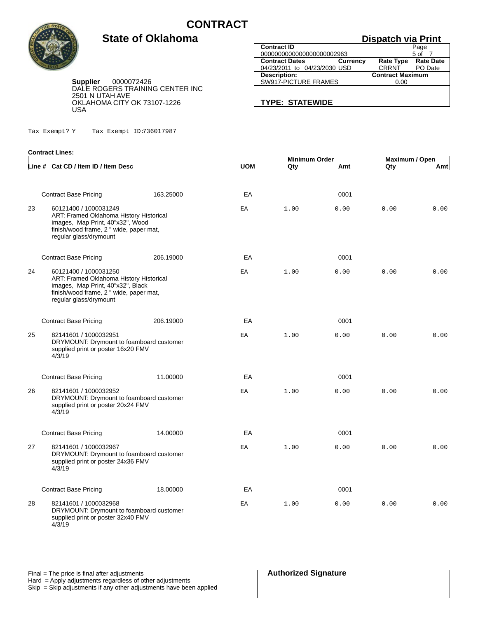

**Contract Lines:**

### **State of Oklahoma**

## **Dispatch via Print**

**Supplier** 0000072426 DALE ROGERS TRAINING CENTER INC 2501 N UTAH AVE OKLAHOMA CITY OK 73107-1226 USA

Tax Exempt? Y Tax Exempt ID:736017987

|                              |                         | Page            |  |  |
|------------------------------|-------------------------|-----------------|--|--|
| 0000000000000000000002963    |                         |                 |  |  |
| <b>Currency</b>              | Rate Type Rate Date     |                 |  |  |
| 04/23/2011 to 04/23/2030 USD | <b>CRRNT</b>            | PO Date         |  |  |
|                              | <b>Contract Maximum</b> |                 |  |  |
| SW917-PICTURE FRAMES         | 0.00                    |                 |  |  |
|                              |                         |                 |  |  |
|                              |                         | 5 <sub>of</sub> |  |  |

**TYPE: STATEWIDE**

|    |                                                                                                                                                                            |           | <b>Minimum Order</b> |      |      | Maximum / Open |      |  |
|----|----------------------------------------------------------------------------------------------------------------------------------------------------------------------------|-----------|----------------------|------|------|----------------|------|--|
|    | Line # Cat CD / Item ID / Item Desc                                                                                                                                        |           | <b>UOM</b>           | Qty  | Amt  | Qty            | Amtl |  |
|    |                                                                                                                                                                            |           |                      |      |      |                |      |  |
|    | <b>Contract Base Pricing</b>                                                                                                                                               | 163.25000 | EA                   |      | 0001 |                |      |  |
| 23 | 60121400 / 1000031249<br>ART: Framed Oklahoma History Historical<br>images, Map Print, 40"x32", Wood<br>finish/wood frame, 2 " wide, paper mat,<br>regular glass/drymount  |           | EA                   | 1.00 | 0.00 | 0.00           | 0.00 |  |
|    | <b>Contract Base Pricing</b>                                                                                                                                               | 206.19000 | EA                   |      | 0001 |                |      |  |
| 24 | 60121400 / 1000031250<br>ART: Framed Oklahoma History Historical<br>images, Map Print, 40"x32", Black<br>finish/wood frame, 2 " wide, paper mat,<br>regular glass/drymount |           | EA                   | 1.00 | 0.00 | 0.00           | 0.00 |  |
|    | <b>Contract Base Pricing</b>                                                                                                                                               | 206.19000 | EA                   |      | 0001 |                |      |  |
| 25 | 82141601 / 1000032951<br>DRYMOUNT: Drymount to foamboard customer<br>supplied print or poster 16x20 FMV<br>4/3/19                                                          |           | ΕA                   | 1.00 | 0.00 | 0.00           | 0.00 |  |
|    | <b>Contract Base Pricing</b>                                                                                                                                               | 11.00000  | EA                   |      | 0001 |                |      |  |
| 26 | 82141601 / 1000032952<br>DRYMOUNT: Drymount to foamboard customer<br>supplied print or poster 20x24 FMV<br>4/3/19                                                          |           | ΕA                   | 1.00 | 0.00 | 0.00           | 0.00 |  |
|    | <b>Contract Base Pricing</b>                                                                                                                                               | 14.00000  | EA                   |      | 0001 |                |      |  |
| 27 | 82141601 / 1000032967<br>DRYMOUNT: Drymount to foamboard customer<br>supplied print or poster 24x36 FMV<br>4/3/19                                                          |           | ΕA                   | 1.00 | 0.00 | 0.00           | 0.00 |  |
|    | <b>Contract Base Pricing</b>                                                                                                                                               | 18,00000  | EA                   |      | 0001 |                |      |  |
| 28 | 82141601 / 1000032968<br>DRYMOUNT: Drymount to foamboard customer<br>supplied print or poster 32x40 FMV                                                                    |           | ΕA                   | 1.00 | 0.00 | 0.00           | 0.00 |  |

d print or poster 32x40 FMV  $\frac{34}{9}$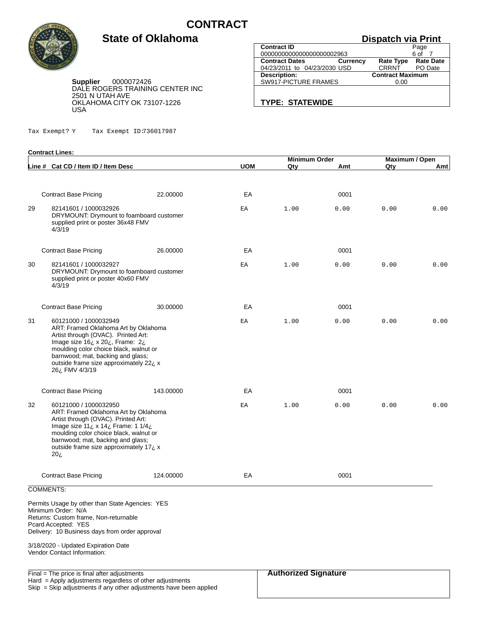

**Contract Lines:**

#### **Dispatch via Print**

**Supplier** 0000072426 DALE ROGERS TRAINING CENTER INC 2501 N UTAH AVE OKLAHOMA CITY OK 73107-1226 USA

**State of Oklahoma**

Tax Exempt? Y Tax Exempt ID:736017987

| <b>Contract ID</b>                       | Page                                 |
|------------------------------------------|--------------------------------------|
| 0000000000000000000002963                | 6 of                                 |
| <b>Contract Dates</b><br><b>Currency</b> | <b>Rate Date</b><br><b>Rate Type</b> |
| 04/23/2011 to 04/23/2030 USD             | CRRNT<br>PO Date                     |
| <b>Description:</b>                      | <b>Contract Maximum</b>              |
| SW917-PICTURE FRAMES                     | 0.00                                 |

**TYPE: STATEWIDE**

|    |                                                                                                                                                                                                                                                                                     |           |            | <b>Minimum Order</b> |      | <b>Maximum / Open</b> |      |
|----|-------------------------------------------------------------------------------------------------------------------------------------------------------------------------------------------------------------------------------------------------------------------------------------|-----------|------------|----------------------|------|-----------------------|------|
|    | Line # Cat CD / Item ID / Item Desc                                                                                                                                                                                                                                                 |           | <b>UOM</b> | Qty                  | Amt  | Qty                   | Amt  |
|    | <b>Contract Base Pricing</b>                                                                                                                                                                                                                                                        | 22.00000  | EA         |                      | 0001 |                       |      |
| 29 | 82141601 / 1000032926<br>DRYMOUNT: Drymount to foamboard customer<br>supplied print or poster 36x48 FMV<br>4/3/19                                                                                                                                                                   |           | ΕA         | 1.00                 | 0.00 | 0.00                  | 0.00 |
|    | <b>Contract Base Pricing</b>                                                                                                                                                                                                                                                        | 26.00000  | EA         |                      | 0001 |                       |      |
| 30 | 82141601 / 1000032927<br>DRYMOUNT: Drymount to foamboard customer<br>supplied print or poster 40x60 FMV<br>4/3/19                                                                                                                                                                   |           | ΕA         | 1.00                 | 0.00 | 0.00                  | 0.00 |
|    | <b>Contract Base Pricing</b>                                                                                                                                                                                                                                                        | 30.00000  | EA         |                      | 0001 |                       |      |
| 31 | 60121000 / 1000032949<br>ART: Framed Oklahoma Art by Oklahoma<br>Artist through (OVAC). Printed Art:<br>Image size 16¿ x 20¿, Frame: 2¿<br>moulding color choice black, walnut or<br>barnwood; mat, backing and glass;<br>outside frame size approximately 22 ¿ x<br>26¿ FMV 4/3/19 |           | ΕA         | 1.00                 | 0.00 | 0.00                  | 0.00 |
|    | <b>Contract Base Pricing</b>                                                                                                                                                                                                                                                        | 143.00000 | EA         |                      | 0001 |                       |      |
| 32 | 60121000 / 1000032950<br>ART: Framed Oklahoma Art by Oklahoma<br>Artist through (OVAC). Printed Art:<br>Image size 11; x 14; Frame: 1 1/4;<br>moulding color choice black, walnut or<br>barnwood; mat, backing and glass;<br>outside frame size approximately 17¿ x<br>غ20          |           | EA         | 1.00                 | 0.00 | 0.00                  | 0.00 |
|    | <b>Contract Base Pricing</b>                                                                                                                                                                                                                                                        | 124.00000 | EA         |                      | 0001 |                       |      |
|    | <b>COMMENTS:</b>                                                                                                                                                                                                                                                                    |           |            |                      |      |                       |      |
|    | Permits Usage by other than State Agencies: YES<br>Minimum Order: N/A<br>Returns: Custom frame, Non-returnable<br>Pcard Accepted: YES<br>Delivery: 10 Business days from order approval                                                                                             |           |            |                      |      |                       |      |
|    | 3/18/2020 - Updated Expiration Date<br>Vendor Contact Information:                                                                                                                                                                                                                  |           |            |                      |      |                       |      |